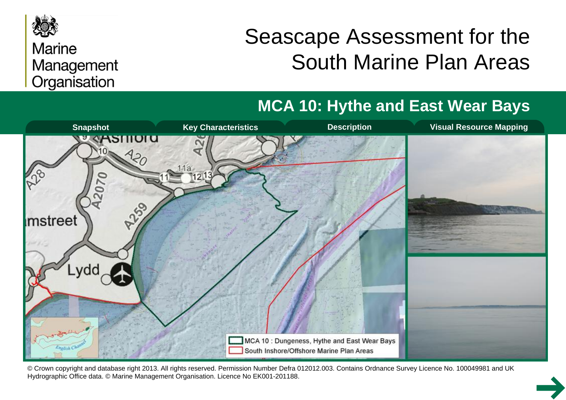

### **Marine** Management Organisation

# Seascape Assessment for the South Marine Plan Areas

# **MCA 10: Hythe and East Wear Bays**



© Crown copyright and database right 2013. All rights reserved. Permission Number Defra 012012.003. Contains Ordnance Survey Licence No. 100049981 and UK Hydrographic Office data. © Marine Management Organisation. Licence No EK001-201188.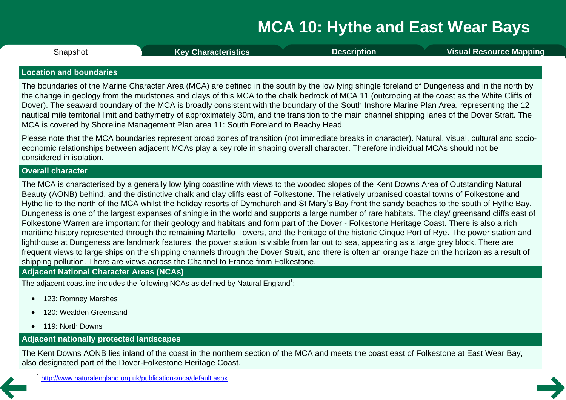<span id="page-1-0"></span>**Snapshot** 

Snapshot **Key [Characteristics](#page-2-0) [Description](#page-3-0) Visual [Resource](#page-8-0) Mapping**

#### **Location and boundaries**

The boundaries of the Marine Character Area (MCA) are defined in the south by the low lying shingle foreland of Dungeness and in the north by the change in geology from the mudstones and clays of this MCA to the chalk bedrock of MCA 11 (outcroping at the coast as the White Cliffs of Dover). The seaward boundary of the MCA is broadly consistent with the boundary of the South Inshore Marine Plan Area, representing the 12 nautical mile territorial limit and bathymetry of approximately 30m, and the transition to the main channel shipping lanes of the Dover Strait. The MCA is covered by Shoreline Management Plan area 11: South Foreland to Beachy Head.

Please note that the MCA boundaries represent broad zones of transition (not immediate breaks in character). Natural, visual, cultural and socio economic relationships between adjacent MCAs play a key role in shaping overall character. Therefore individual MCAs should not be considered in isolation.

#### **Overall character**

The MCA is characterised by a generally low lying coastline with views to the wooded slopes of the Kent Downs Area of Outstanding Natural Beauty (AONB) behind, and the distinctive chalk and clay cliffs east of Folkestone. The relatively urbanised coastal towns of Folkestone and Hythe lie to the north of the MCA whilst the holiday resorts of Dymchurch and St Mary's Bay front the sandy beaches to the south of Hythe Bay. Dungeness is one of the largest expanses of shingle in the world and supports a large number of rare habitats. The clay/ greensand cliffs east of Folkestone Warren are important for their geology and habitats and form part of the Dover - Folkestone Heritage Coast. There is also a rich maritime history represented through the remaining Martello Towers, and the heritage of the historic Cinque Port of Rye. The power station and lighthouse at Dungeness are landmark features, the power station is visible from far out to sea, appearing as a large grey block. There are frequent views to large ships on the shipping channels through the Dover Strait, and there is often an orange haze on the horizon as a result of shipping pollution. There are views across the Channel to France from Folkestone.

#### **Adjacent National Character Areas (NCAs)**

The adjacent coastline includes the following NCAs as defined by Natural England $^1$ :

- · 123: Romney Marshes
- 120: Wealden Greensand
- 119: North Downs

### **Adjacent nationally protected landscapes**

The Kent Downs AONB lies inland of the coast in the northern section of the MCA and meets the coast east of Folkestone at East Wear Bay, also designated part of the Dover-Folkestone Heritage Coast.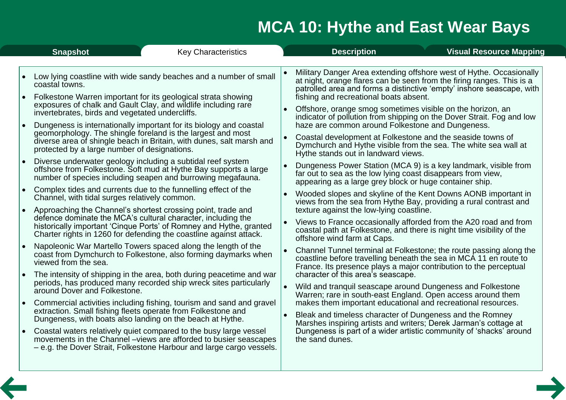<span id="page-2-0"></span>

| <b>Snapshot</b>                                                      | <b>Description</b>                                                    |
|----------------------------------------------------------------------|-----------------------------------------------------------------------|
| <b>Key Characteristics</b>                                           | <b>Visual Resource Mapping</b>                                        |
| Low lying coastline with wide sandy beaches and a number of small    | Military Danger Area extending offshore west of Hythe. Occasionally   |
| coastal towns.                                                       | at night, orange flares can be seen from the firing ranges. This is a |
| Folkestone Warren important for its geological strata showing        | patrolled area and forms a distinctive 'empty' inshore seascape, with |
| exposures of chalk and Gault Clay, and wildlife including rare       | fishing and recreational boats absent.                                |
| invertebrates, birds and vegetated undercliffs.                      | Offshore, orange smog sometimes visible on the horizon, an            |
| Dungeness is internationally important for its biology and coastal   | indicator of pollution from shipping on the Dover Strait. Fog and low |
| geomorphology. The shingle foreland is the largest and most          | haze are common around Folkestone and Dungeness.                      |
| diverse area of shingle beach in Britain, with dunes, salt marsh and | Coastal development at Folkestone and the seaside towns of            |
| protected by a large number of designations.                         | Dymchurch and Hythe visible from the sea. The white sea wall at       |
| Diverse underwater geology including a subtidal reef system          | Hythe stands out in landward views.                                   |
| offshore from Folkestone. Soft mud at Hythe Bay supports a large     | Dungeness Power Station (MCA 9) is a key landmark, visible from       |
| number of species including seapen and burrowing megafauna.          | $\bullet$                                                             |
| Complex tides and currents due to the funnelling effect of the       | far out to sea as the low lying coast disappears from view,           |
| Channel, with tidal surges relatively common.                        | appearing as a large grey block or huge container ship.               |
| Approaching the Channel's shortest crossing point, trade and         | Wooded slopes and skyline of the Kent Downs AONB important in         |
| $\bullet$                                                            | views from the sea from Hythe Bay, providing a rural contrast and     |
| defence dominate the MCA's cultural character, including the         | texture against the low-lying coastline.                              |
| historically important 'Cinque Ports' of Romney and Hythe, granted   | Views to France occasionally afforded from the A20 road and from      |
| Charter rights in 1260 for defending the coastline against attack.   | coastal path at Folkestone, and there is night time visibility of the |
| Napoleonic War Martello Towers spaced along the length of the        | offshore wind farm at Caps.                                           |
| coast from Dymchurch to Folkestone, also forming daymarks when       | Channel Tunnel terminal at Folkestone; the route passing along the    |
| viewed from the sea.                                                 | coastline before travelling beneath the sea in MCA 11 en route to     |
| The intensity of shipping in the area, both during peacetime and war | France. Its presence plays a major contribution to the perceptual     |
| periods, has produced many recorded ship wreck sites particularly    | character of this area's seascape.                                    |
| around Dover and Folkestone.                                         | Wild and tranquil seascape around Dungeness and Folkestone            |
| Commercial activities including fishing, tourism and sand and gravel | Warren; rare in south-east England. Open access around them           |
| extraction. Small fishing fleets operate from Folkestone and         | makes them important educational and recreational resources.          |
| Dungeness, with boats also landing on the beach at Hythe.            | Bleak and timeless character of Dungeness and the Romney              |
| Coastal waters relatively quiet compared to the busy large vessel    | Marshes inspiring artists and writers; Derek Jarman's cottage at      |
| movements in the Channel – views are afforded to busier seascapes    | Dungeness is part of a wider artistic community of 'shacks' around    |
| - e.g. the Dover Strait, Folkestone Harbour and large cargo vessels. | the sand dunes.                                                       |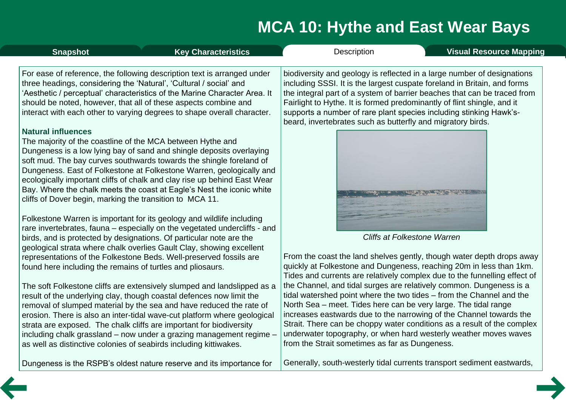<span id="page-3-0"></span>

| <b>Snapshot</b>                                                                                                                                     | <b>Key Characteristics</b>                                                                                                                                                                                                                                                                                                                                                                                                                       | Description                                                                                                                                                                                                                                                                                                                                                                                                                                                                            | <b>Visual Resource Mapping</b> |
|-----------------------------------------------------------------------------------------------------------------------------------------------------|--------------------------------------------------------------------------------------------------------------------------------------------------------------------------------------------------------------------------------------------------------------------------------------------------------------------------------------------------------------------------------------------------------------------------------------------------|----------------------------------------------------------------------------------------------------------------------------------------------------------------------------------------------------------------------------------------------------------------------------------------------------------------------------------------------------------------------------------------------------------------------------------------------------------------------------------------|--------------------------------|
| three headings, considering the 'Natural', 'Cultural / social' and                                                                                  | For ease of reference, the following description text is arranged under<br>'Aesthetic / perceptual' characteristics of the Marine Character Area. It<br>should be noted, however, that all of these aspects combine and<br>interact with each other to varying degrees to shape overall character.                                                                                                                                               | biodiversity and geology is reflected in a large number of designations<br>including SSSI. It is the largest cuspate foreland in Britain, and forms<br>the integral part of a system of barrier beaches that can be traced from<br>Fairlight to Hythe. It is formed predominantly of flint shingle, and it<br>supports a number of rare plant species including stinking Hawk's-<br>beard, invertebrates such as butterfly and migratory birds.                                        |                                |
| <b>Natural influences</b><br>The majority of the coastline of the MCA between Hythe and<br>cliffs of Dover begin, marking the transition to MCA 11. | Dungeness is a low lying bay of sand and shingle deposits overlaying<br>soft mud. The bay curves southwards towards the shingle foreland of<br>Dungeness. East of Folkestone at Folkestone Warren, geologically and<br>ecologically important cliffs of chalk and clay rise up behind East Wear<br>Bay. Where the chalk meets the coast at Eagle's Nest the iconic white                                                                         |                                                                                                                                                                                                                                                                                                                                                                                                                                                                                        |                                |
|                                                                                                                                                     | Folkestone Warren is important for its geology and wildlife including<br>rare invertebrates, fauna – especially on the vegetated undercliffs - and<br>birds, and is protected by designations. Of particular note are the                                                                                                                                                                                                                        | <b>Cliffs at Folkestone Warren</b>                                                                                                                                                                                                                                                                                                                                                                                                                                                     |                                |
| found here including the remains of turtles and pliosaurs.                                                                                          | geological strata where chalk overlies Gault Clay, showing excellent<br>representations of the Folkestone Beds. Well-preserved fossils are                                                                                                                                                                                                                                                                                                       | From the coast the land shelves gently, though water depth drops away<br>quickly at Folkestone and Dungeness, reaching 20m in less than 1km.<br>Tides and currents are relatively complex due to the funnelling effect of                                                                                                                                                                                                                                                              |                                |
| as well as distinctive colonies of seabirds including kittiwakes.                                                                                   | The soft Folkestone cliffs are extensively slumped and landslipped as a<br>result of the underlying clay, though coastal defences now limit the<br>removal of slumped material by the sea and have reduced the rate of<br>erosion. There is also an inter-tidal wave-cut platform where geological<br>strata are exposed. The chalk cliffs are important for biodiversity<br>including chalk grassland - now under a grazing management regime - | the Channel, and tidal surges are relatively common. Dungeness is a<br>tidal watershed point where the two tides - from the Channel and the<br>North Sea – meet. Tides here can be very large. The tidal range<br>increases eastwards due to the narrowing of the Channel towards the<br>Strait. There can be choppy water conditions as a result of the complex<br>underwater topography, or when hard westerly weather moves waves<br>from the Strait sometimes as far as Dungeness. |                                |

Dungeness is the RSPB's oldest nature reserve and its importance for

as well as distinctive colonies of seabirds including kittiwakes.

Generally, south-westerly tidal currents transport sediment eastwards,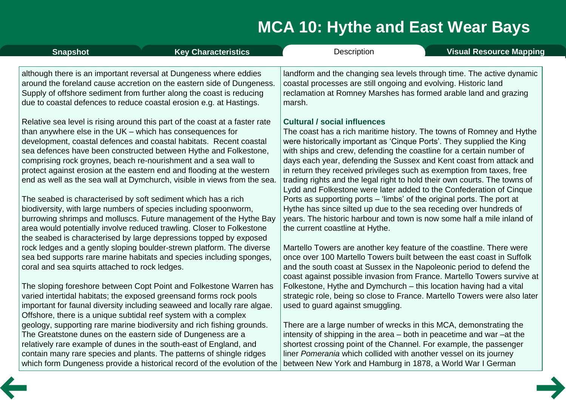| <b>Snapshot</b>                                | <b>Key Characteristics</b>                                                                                                                                                                                                                                                                                                                                                                                                                                                                                                                                                                                                                                                                                                                                                                                                                                              | <b>Description</b>                                                                                                                                                                                                                                                                                                                                                                                                                                                                                                                                                                                                                                                                                                                                                                                                            | <b>Visual Resource Mapping</b> |
|------------------------------------------------|-------------------------------------------------------------------------------------------------------------------------------------------------------------------------------------------------------------------------------------------------------------------------------------------------------------------------------------------------------------------------------------------------------------------------------------------------------------------------------------------------------------------------------------------------------------------------------------------------------------------------------------------------------------------------------------------------------------------------------------------------------------------------------------------------------------------------------------------------------------------------|-------------------------------------------------------------------------------------------------------------------------------------------------------------------------------------------------------------------------------------------------------------------------------------------------------------------------------------------------------------------------------------------------------------------------------------------------------------------------------------------------------------------------------------------------------------------------------------------------------------------------------------------------------------------------------------------------------------------------------------------------------------------------------------------------------------------------------|--------------------------------|
|                                                | although there is an important reversal at Dungeness where eddies<br>around the foreland cause accretion on the eastern side of Dungeness.<br>Supply of offshore sediment from further along the coast is reducing<br>due to coastal defences to reduce coastal erosion e.g. at Hastings.                                                                                                                                                                                                                                                                                                                                                                                                                                                                                                                                                                               | landform and the changing sea levels through time. The active dynamic<br>coastal processes are still ongoing and evolving. Historic land<br>reclamation at Romney Marshes has formed arable land and grazing<br>marsh.                                                                                                                                                                                                                                                                                                                                                                                                                                                                                                                                                                                                        |                                |
|                                                | Relative sea level is rising around this part of the coast at a faster rate<br>than anywhere else in the $UK$ – which has consequences for<br>development, coastal defences and coastal habitats. Recent coastal<br>sea defences have been constructed between Hythe and Folkestone,<br>comprising rock groynes, beach re-nourishment and a sea wall to<br>protect against erosion at the eastern end and flooding at the western<br>end as well as the sea wall at Dymchurch, visible in views from the sea.<br>The seabed is characterised by soft sediment which has a rich<br>biodiversity, with large numbers of species including spoonworm,<br>burrowing shrimps and molluscs. Future management of the Hythe Bay<br>area would potentially involve reduced trawling. Closer to Folkestone<br>the seabed is characterised by large depressions topped by exposed | <b>Cultural / social influences</b><br>The coast has a rich maritime history. The towns of Romney and Hythe<br>were historically important as 'Cinque Ports'. They supplied the King<br>with ships and crew, defending the coastline for a certain number of<br>days each year, defending the Sussex and Kent coast from attack and<br>in return they received privileges such as exemption from taxes, free<br>trading rights and the legal right to hold their own courts. The towns of<br>Lydd and Folkestone were later added to the Confederation of Cinque<br>Ports as supporting ports – 'limbs' of the original ports. The port at<br>Hythe has since silted up due to the sea receding over hundreds of<br>years. The historic harbour and town is now some half a mile inland of<br>the current coastline at Hythe. |                                |
| coral and sea squirts attached to rock ledges. | rock ledges and a gently sloping boulder-strewn platform. The diverse<br>sea bed supports rare marine habitats and species including sponges,                                                                                                                                                                                                                                                                                                                                                                                                                                                                                                                                                                                                                                                                                                                           | Martello Towers are another key feature of the coastline. There were<br>once over 100 Martello Towers built between the east coast in Suffolk<br>and the south coast at Sussex in the Napoleonic period to defend the<br>coast against possible invasion from France. Martello Towers survive at                                                                                                                                                                                                                                                                                                                                                                                                                                                                                                                              |                                |
|                                                | The sloping foreshore between Copt Point and Folkestone Warren has<br>varied intertidal habitats; the exposed greensand forms rock pools<br>important for faunal diversity including seaweed and locally rare algae.<br>Offshore, there is a unique subtidal reef system with a complex                                                                                                                                                                                                                                                                                                                                                                                                                                                                                                                                                                                 | Folkestone, Hythe and Dymchurch - this location having had a vital<br>strategic role, being so close to France. Martello Towers were also later<br>used to guard against smuggling.                                                                                                                                                                                                                                                                                                                                                                                                                                                                                                                                                                                                                                           |                                |
|                                                | geology, supporting rare marine biodiversity and rich fishing grounds.<br>The Greatstone dunes on the eastern side of Dungeness are a<br>relatively rare example of dunes in the south-east of England, and<br>contain many rare species and plants. The patterns of shingle ridges<br>which form Dungeness provide a historical record of the evolution of the                                                                                                                                                                                                                                                                                                                                                                                                                                                                                                         | There are a large number of wrecks in this MCA, demonstrating the<br>intensity of shipping in the area – both in peacetime and war – at the<br>shortest crossing point of the Channel. For example, the passenger<br>liner Pomerania which collided with another vessel on its journey<br>between New York and Hamburg in 1878, a World War I German                                                                                                                                                                                                                                                                                                                                                                                                                                                                          |                                |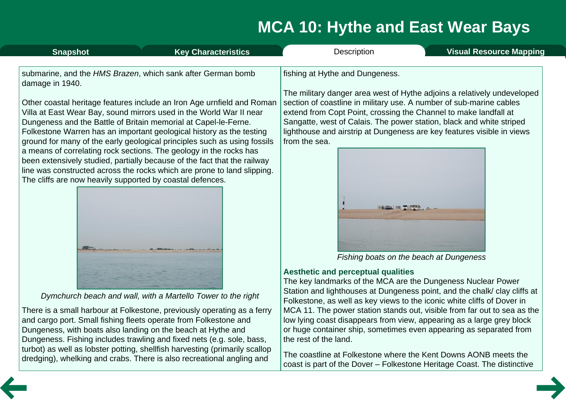| <b>Snapshot</b>                                                                                                                                                                                                                                                                                                                                                                                                                                                                                                                                                                                                                                                                                                                                  | <b>Key Characteristics</b>                                              | Description                                                                                                                                                                                                                                                                                                                                                                                                              | <b>Visual Resource Mapping</b>                                                                                                                    |  |
|--------------------------------------------------------------------------------------------------------------------------------------------------------------------------------------------------------------------------------------------------------------------------------------------------------------------------------------------------------------------------------------------------------------------------------------------------------------------------------------------------------------------------------------------------------------------------------------------------------------------------------------------------------------------------------------------------------------------------------------------------|-------------------------------------------------------------------------|--------------------------------------------------------------------------------------------------------------------------------------------------------------------------------------------------------------------------------------------------------------------------------------------------------------------------------------------------------------------------------------------------------------------------|---------------------------------------------------------------------------------------------------------------------------------------------------|--|
| submarine, and the HMS Brazen, which sank after German bomb<br>damage in 1940.<br>Other coastal heritage features include an Iron Age urnfield and Roman<br>Villa at East Wear Bay, sound mirrors used in the World War II near<br>Dungeness and the Battle of Britain memorial at Capel-le-Ferne.<br>Folkestone Warren has an important geological history as the testing<br>ground for many of the early geological principles such as using fossils<br>a means of correlating rock sections. The geology in the rocks has<br>been extensively studied, partially because of the fact that the railway<br>line was constructed across the rocks which are prone to land slipping.<br>The cliffs are now heavily supported by coastal defences. |                                                                         | fishing at Hythe and Dungeness.<br>The military danger area west of Hythe adjoins a relatively undeveloped<br>section of coastline in military use. A number of sub-marine cables<br>extend from Copt Point, crossing the Channel to make landfall at<br>Sangatte, west of Calais. The power station, black and white striped<br>lighthouse and airstrip at Dungeness are key features visible in views<br>from the sea. |                                                                                                                                                   |  |
|                                                                                                                                                                                                                                                                                                                                                                                                                                                                                                                                                                                                                                                                                                                                                  | Dymchurch beach and wall, with a Martello Tower to the right            | <b>Aesthetic and perceptual qualities</b><br>The key landmarks of the MCA are the Dungeness Nuclear Power                                                                                                                                                                                                                                                                                                                | PARTIES, ELIT<br>Fishing boats on the beach at Dungeness<br>Station and lighthouses at Dungeness point, and the chalk/ clay cliffs at             |  |
| and cargo port. Small fishing fleets operate from Folkestone and                                                                                                                                                                                                                                                                                                                                                                                                                                                                                                                                                                                                                                                                                 | There is a small harbour at Folkestone, previously operating as a ferry | Folkestone, as well as key views to the iconic white cliffs of Dover in                                                                                                                                                                                                                                                                                                                                                  | MCA 11. The power station stands out, visible from far out to sea as the<br>low lying coast disappears from view, appearing as a large grey block |  |

Dungeness, with boats also landing on the beach at Hythe and

Dungeness. Fishing includes trawling and fixed nets (e.g. sole, bass, turbot) as well as lobster potting, shellfish harvesting (primarily scallop dredging), whelking and crabs. There is also recreational angling and

low lying coast disappears from view, appearing as a large grey block or huge container ship, sometimes even appearing as separated from the rest of the land.

The coastline at Folkestone where the Kent Downs AONB meets the coast is part of the Dover – Folkestone Heritage Coast. The distinctive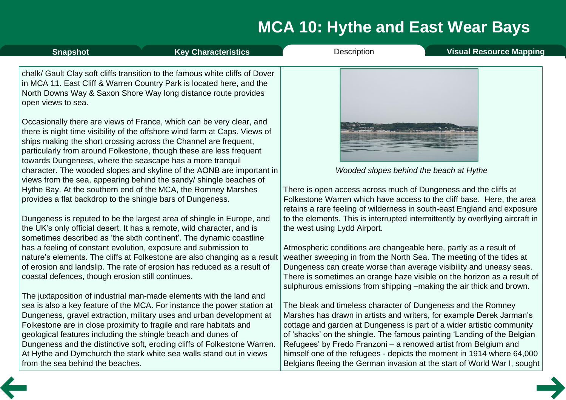| <b>Snapshot</b>                                            | <b>Key Characteristics</b>                                                                                                                                                                                                                                                                    | <b>Description</b>                                                                                                                                                                                                  | <b>Visual Resource Mapping</b> |
|------------------------------------------------------------|-----------------------------------------------------------------------------------------------------------------------------------------------------------------------------------------------------------------------------------------------------------------------------------------------|---------------------------------------------------------------------------------------------------------------------------------------------------------------------------------------------------------------------|--------------------------------|
| open views to sea.                                         | chalk/ Gault Clay soft cliffs transition to the famous white cliffs of Dover<br>in MCA 11. East Cliff & Warren Country Park is located here, and the<br>North Downs Way & Saxon Shore Way long distance route provides                                                                        |                                                                                                                                                                                                                     |                                |
| towards Dungeness, where the seascape has a more tranquil  | Occasionally there are views of France, which can be very clear, and<br>there is night time visibility of the offshore wind farm at Caps. Views of<br>ships making the short crossing across the Channel are frequent,<br>particularly from around Folkestone, though these are less frequent |                                                                                                                                                                                                                     |                                |
|                                                            | character. The wooded slopes and skyline of the AONB are important in<br>views from the sea, appearing behind the sandy/shingle beaches of                                                                                                                                                    | Wooded slopes behind the beach at Hythe                                                                                                                                                                             |                                |
| provides a flat backdrop to the shingle bars of Dungeness. | Hythe Bay. At the southern end of the MCA, the Romney Marshes                                                                                                                                                                                                                                 | There is open access across much of Dungeness and the cliffs at<br>Folkestone Warren which have access to the cliff base. Here, the area<br>retains a rare feeling of wilderness in south-east England and exposure |                                |

the west using Lydd Airport.

Dungeness is reputed to be the largest area of shingle in Europe, and the UK's only official desert. It has a remote, wild character, and is sometimes described as 'the sixth continent'. The dynamic coastline has a feeling of constant evolution, exposure and submission to nature's elements. The cliffs at Folkestone are also changing as a result of erosion and landslip. The rate of erosion has reduced as a result of coastal defences, though erosion still continues.

The juxtaposition of industrial man-made elements with the land and sea is also a key feature of the MCA. For instance the power station at Dungeness, gravel extraction, military uses and urban development at Folkestone are in close proximity to fragile and rare habitats and geological features including the shingle beach and dunes of Dungeness and the distinctive soft, eroding cliffs of Folkestone Warren. At Hythe and Dymchurch the stark white sea walls stand out in views from the sea behind the beaches.

Atmospheric conditions are changeable here, partly as a result of weather sweeping in from the North Sea. The meeting of the tides at Dungeness can create worse than average visibility and uneasy seas. There is sometimes an orange haze visible on the horizon as a result of sulphurous emissions from shipping –making the air thick and brown.

to the elements. This is interrupted intermittently by overflying aircraft in

The bleak and timeless character of Dungeness and the Romney Marshes has drawn in artists and writers, for example Derek Jarman's cottage and garden at Dungeness is part of a wider artistic community of 'shacks' on the shingle. The famous painting 'Landing of the Belgian Refugees' by Fredo Franzoni – a renowed artist from Belgium and himself one of the refugees - depicts the moment in 1914 where 64,000 Belgians fleeing the German invasion at the start of World War I, sought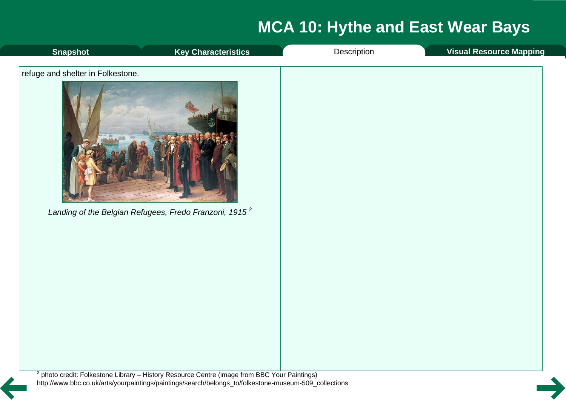<span id="page-7-0"></span>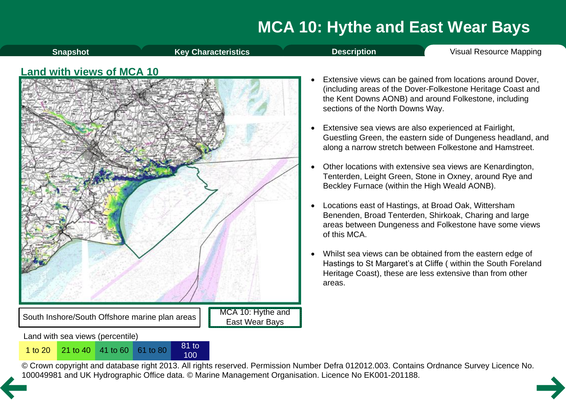<span id="page-8-0"></span>

© Crown copyright and database right 2013. All rights reserved. Permission Number Defra 012012.003. Contains Ordnance Survey Licence No. 1 to 20<sup>21</sup> to 40<sup>41</sup> to 60<sup>61</sup> to 80<sup>81</sup> to 80<sup>81</sup> to 80<sup>81</sup> to [10](#page-7-0)0<br>© Crown copyright and database right 2013. All rights reserved. Permission Number Defra 012012.003. Contain<br>100049981 and UK Hydrographic Office data. ©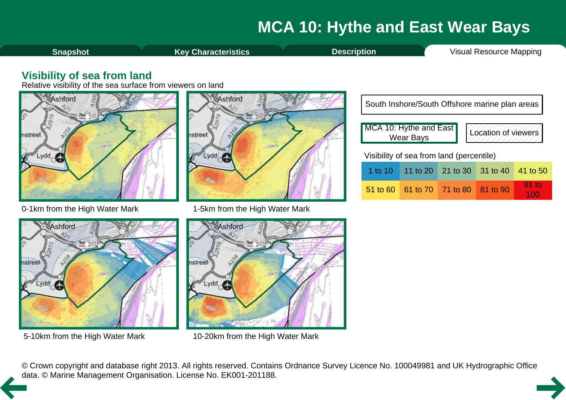<span id="page-9-0"></span>![](_page_9_Figure_1.jpeg)

### **Visibility of sea from land**

Relative visibility of the sea surface from viewers on land

![](_page_9_Figure_4.jpeg)

0-1km from the High Water Mark 1-5km from the High Water Mark

![](_page_9_Figure_6.jpeg)

| South Inshore/South Offshore marine plan areas |            |                                          |  |  |                  |
|------------------------------------------------|------------|------------------------------------------|--|--|------------------|
| MCA 10: Hythe and East<br>Location of viewers  |            |                                          |  |  |                  |
| Visibility of sea from land (percentile)       |            |                                          |  |  |                  |
|                                                |            | 1 to 10   11 to 20   21 to 30   31 to 40 |  |  | 41 to 50         |
|                                                | $51$ to 60 | 61 to 70 71 to 80 81 to 90               |  |  | $91$ to<br>1 A A |

100

![](_page_9_Figure_9.jpeg)

![](_page_9_Figure_11.jpeg)

5-10km from the High Water Mark 10-20km from the High Water Mark

© Crown copyright and database right 2013. All rights reserved. Contains Ordnance Survey Licence No. 100049981 and UK Hydrographic Office [da](#page-8-0)ta. © Marine Management Organisation. License No. EK001-201188.